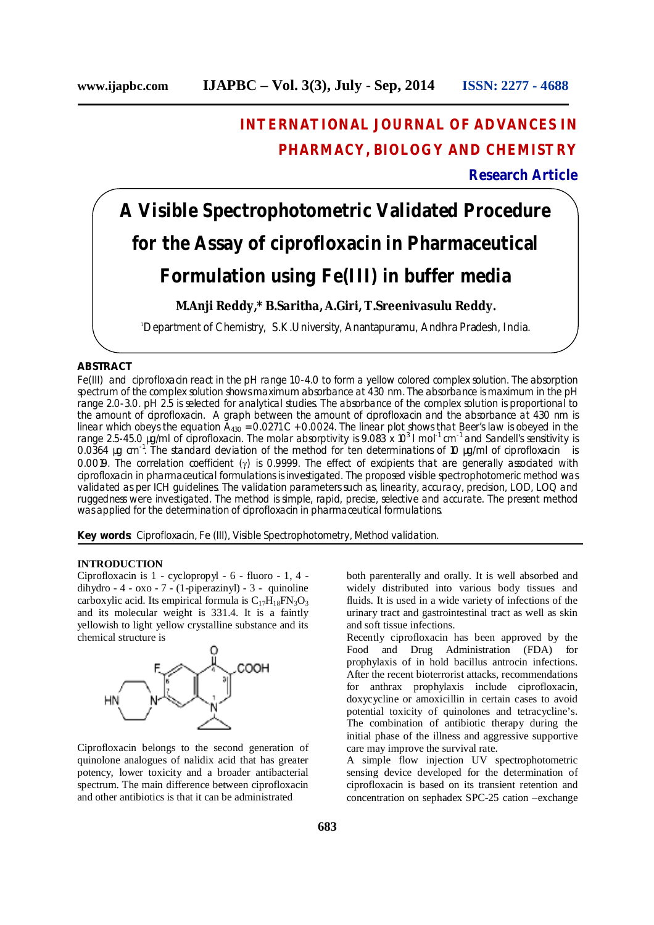# **INTERNATIONAL JOURNAL OF ADVANCES IN PHARMACY, BIOLOGY AND CHEMISTRY**

# **Research Article**

# **A Visible Spectrophotometric Validated Procedure for the Assay of ciprofloxacin in Pharmaceutical Formulation using Fe(III) in buffer media**

# **M.Anji Reddy,\* B.Saritha, A.Giri, T.Sreenivasulu Reddy.**

<sup>1</sup>Department of Chemistry, S.K.University, Anantapuramu, Andhra Pradesh, India.

#### **ABSTRACT**

Fe(III) and ciprofloxacin react in the pH range 1.0-4.0 to form a yellow colored complex solution. The absorption spectrum of the complex solution shows maximum absorbance at 430 nm. The absorbance is maximum in the pH range 2.0-3.0. pH 2.5 is selected for analytical studies. The absorbance of the complex solution is proportional to the amount of ciprofloxacin. A graph between the amount of ciprofloxacin and the absorbance at 430 nm is linear which obeys the equation  $A_{430}$  = 0.0271 C + 0.0024. The linear plot shows that Beer's law is obeyed in the range 2.5-45.0 µg/ml of ciprofloxacin. The molar absorptivity is 9.083 x 10<sup>3</sup> I mol<sup>-1</sup> cm<sup>-1</sup> and Sandell's sensitivity is 0.0364 µg cm<sup>-1</sup>. The standard deviation of the method for ten determinations of 10 µg/ml of ciprofloxacin is 0.0019. The correlation coefficient ( $\gamma$ ) is 0.9999. The effect of excipients that are generally associated with ciprofloxacin in pharmaceutical formulations is investigated. The proposed visible spectrophotomeric method was validated as per ICH guidelines. The validation parameters such as, linearity, accuracy, precision, LOD, LOQ and ruggedness were investigated. The method is simple, rapid, precise, selective and accurate. The present method was applied for the determination of ciprofloxacin in pharmaceutical formulations.

**Key words**: Ciprofloxacin, Fe (III), Visible Spectrophotometry, Method validation.

#### **INTRODUCTION**

Ciprofloxacin is 1 - cyclopropyl - 6 - fluoro - 1, 4 dihydro -  $4 - 0x0 - 7 - (1-piperazinyl) - 3 - quinoline$ carboxylic acid. Its empirical formula is  $C_{17}H_{18}FN_3O_3$ and its molecular weight is 331.4. It is a faintly yellowish to light yellow crystalline substance and its chemical structure is



Ciprofloxacin belongs to the second generation of quinolone analogues of nalidix acid that has greater potency, lower toxicity and a broader antibacterial spectrum. The main difference between ciprofloxacin and other antibiotics is that it can be administrated

both parenterally and orally. It is well absorbed and widely distributed into various body tissues and fluids. It is used in a wide variety of infections of the urinary tract and gastrointestinal tract as well as skin and soft tissue infections.

Recently ciprofloxacin has been approved by the Food and Drug Administration (FDA) for prophylaxis of in hold bacillus antrocin infections. After the recent bioterrorist attacks, recommendations for anthrax prophylaxis include ciprofloxacin, doxycycline or amoxicillin in certain cases to avoid potential toxicity of quinolones and tetracycline's. The combination of antibiotic therapy during the initial phase of the illness and aggressive supportive care may improve the survival rate.

A simple flow injection UV spectrophotometric sensing device developed for the determination of ciprofloxacin is based on its transient retention and concentration on sephadex SPC-25 cation –exchange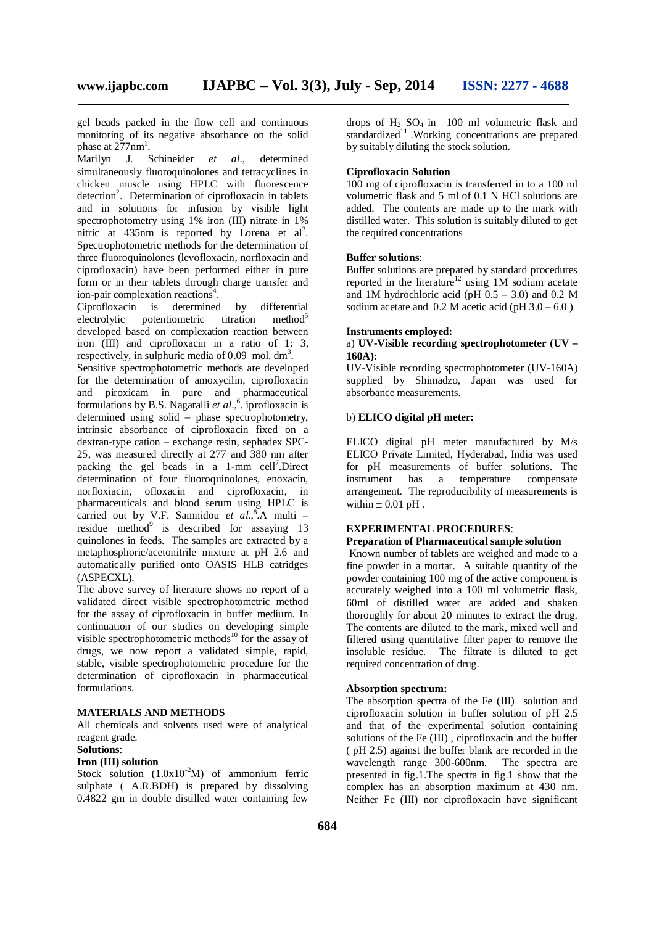gel beads packed in the flow cell and continuous monitoring of its negative absorbance on the solid phase at  $277$ nm<sup>1</sup>.

Marilyn J. Schineider *et al*., determined simultaneously fluoroquinolones and tetracyclines in chicken muscle using HPLC with fluorescence detection<sup>2</sup>. Determination of ciprofloxacin in tablets and in solutions for infusion by visible light spectrophotometry using 1% iron (III) nitrate in 1% nitric at 435nm is reported by Lorena et al<sup>3</sup>. Spectrophotometric methods for the determination of three fluoroquinolones (levofloxacin, norfloxacin and ciprofloxacin) have been performed either in pure form or in their tablets through charge transfer and ion-pair complexation reactions 4 .

Ciprofloxacin is determined by differential electrolytic potentiometric titration method<sup>5</sup> developed based on complexation reaction between iron (III) and ciprofloxacin in a ratio of 1: 3, respectively, in sulphuric media of 0.09 mol.  $dm^3$ .

Sensitive spectrophotometric methods are developed for the determination of amoxycilin, ciprofloxacin and piroxicam in pure and pharmaceutical formulations by B.S. Nagaralli *et al*., 6 . iprofloxacin is determined using solid – phase spectrophotometry, intrinsic absorbance of ciprofloxacin fixed on a dextran-type cation – exchange resin, sephadex SPC-25, was measured directly at 277 and 380 nm after packing the gel beads in a 1-mm cell<sup>7</sup>.Direct determination of four fluoroquinolones, enoxacin, norfloxiacin, ofloxacin and ciprofloxacin, in pharmaceuticals and blood serum using HPLC is carried out by V.F. Samnidou et al.,<sup>8</sup>.A multi residue method<sup>9</sup> is described for assaying 13 quinolones in feeds. The samples are extracted by a metaphosphoric/acetonitrile mixture at pH 2.6 and automatically purified onto OASIS HLB catridges (ASPECXL).

The above survey of literature shows no report of a validated direct visible spectrophotometric method for the assay of ciprofloxacin in buffer medium. In continuation of our studies on developing simple visible spectrophotometric methods<sup>10</sup> for the assay of drugs, we now report a validated simple, rapid, stable, visible spectrophotometric procedure for the determination of ciprofloxacin in pharmaceutical formulations.

#### **MATERIALS AND METHODS**

All chemicals and solvents used were of analytical reagent grade.

## **Solutions**:

# **Iron (III) solution**

Stock solution  $(1.0x10^{-2}M)$  of ammonium ferric sulphate ( A.R.BDH) is prepared by dissolving 0.4822 gm in double distilled water containing few

drops of  $H_2$  SO<sub>4</sub> in 100 ml volumetric flask and standardized<sup>11</sup> .Working concentrations are prepared by suitably diluting the stock solution.

#### **Ciprofloxacin Solution**

100 mg of ciprofloxacin is transferred in to a 100 ml volumetric flask and 5 ml of 0.1 N HCl solutions are added. The contents are made up to the mark with distilled water. This solution is suitably diluted to get the required concentrations

#### **Buffer solutions**:

Buffer solutions are prepared by standard procedures reported in the literature<sup>12</sup> using 1M sodium acetate and 1M hydrochloric acid (pH $0.5 - 3.0$ ) and 0.2 M sodium acetate and  $0.2$  M acetic acid (pH  $3.0 - 6.0$ )

#### **Instruments employed:**

#### a) **UV-Visible recording spectrophotometer (UV – 160A):**

UV-Visible recording spectrophotometer (UV-160A) supplied by Shimadzo, Japan was used for absorbance measurements.

#### b) **ELICO digital pH meter:**

ELICO digital pH meter manufactured by M/s ELICO Private Limited, Hyderabad, India was used for pH measurements of buffer solutions. The instrument has a temperature compensate arrangement. The reproducibility of measurements is within  $\pm$  0.01 pH.

# **EXPERIMENTAL PROCEDURES**:

## **Preparation of Pharmaceutical sample solution**

Known number of tablets are weighed and made to a fine powder in a mortar. A suitable quantity of the powder containing 100 mg of the active component is accurately weighed into a 100 ml volumetric flask, 60ml of distilled water are added and shaken thoroughly for about 20 minutes to extract the drug. The contents are diluted to the mark, mixed well and filtered using quantitative filter paper to remove the insoluble residue. The filtrate is diluted to get required concentration of drug.

#### **Absorption spectrum:**

The absorption spectra of the Fe (III) solution and ciprofloxacin solution in buffer solution of pH 2.5 and that of the experimental solution containing solutions of the Fe (III) , ciprofloxacin and the buffer ( pH 2.5) against the buffer blank are recorded in the wavelength range 300-600nm. The spectra are presented in fig.1.The spectra in fig.1 show that the complex has an absorption maximum at 430 nm. Neither Fe (III) nor ciprofloxacin have significant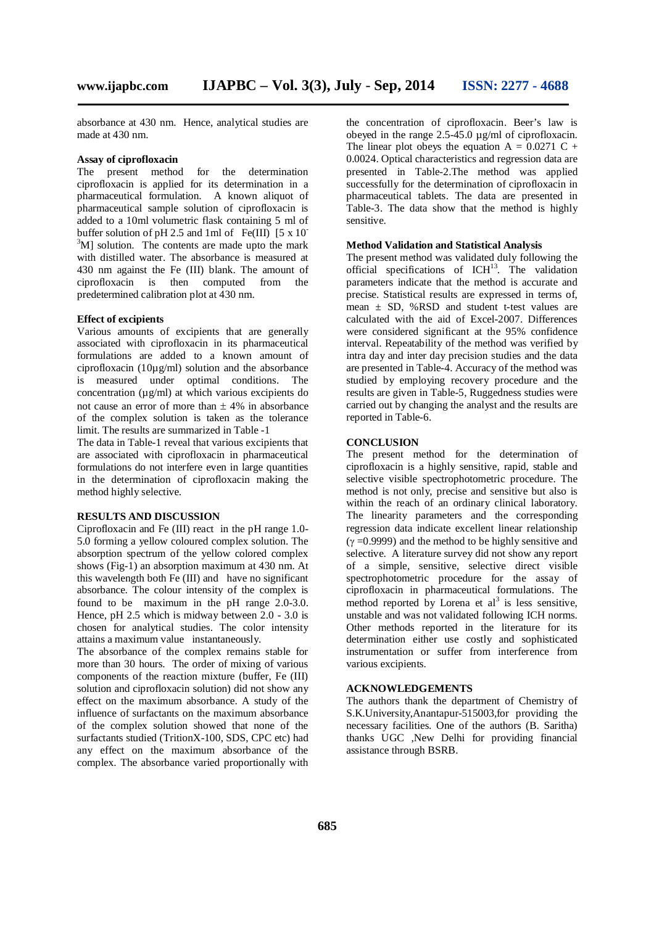absorbance at 430 nm. Hence, analytical studies are made at 430 nm.

#### **Assay of ciprofloxacin**

The present method for the determination ciprofloxacin is applied for its determination in a pharmaceutical formulation. A known aliquot of pharmaceutical sample solution of ciprofloxacin is added to a 10ml volumetric flask containing 5 ml of buffer solution of pH 2.5 and 1ml of Fe(III)  $[5 \times 10^{-7}]$  $3^3$ M] solution. The contents are made upto the mark with distilled water. The absorbance is measured at 430 nm against the Fe (III) blank. The amount of ciprofloxacin is then computed from the predetermined calibration plot at 430 nm.

#### **Effect of excipients**

Various amounts of excipients that are generally associated with ciprofloxacin in its pharmaceutical formulations are added to a known amount of ciprofloxacin (10 $\mu$ g/ml) solution and the absorbance is measured under optimal conditions. The concentration  $(\mu g/ml)$  at which various excipients do not cause an error of more than  $\pm$  4% in absorbance of the complex solution is taken as the tolerance limit. The results are summarized in Table -1

The data in Table-1 reveal that various excipients that are associated with ciprofloxacin in pharmaceutical formulations do not interfere even in large quantities in the determination of ciprofloxacin making the method highly selective.

#### **RESULTS AND DISCUSSION**

Ciprofloxacin and Fe (III) react in the pH range 1.0- 5.0 forming a yellow coloured complex solution. The absorption spectrum of the yellow colored complex shows (Fig-1) an absorption maximum at 430 nm. At this wavelength both Fe (III) and have no significant absorbance. The colour intensity of the complex is found to be maximum in the pH range 2.0-3.0. Hence, pH 2.5 which is midway between 2.0 - 3.0 is chosen for analytical studies. The color intensity attains a maximum value instantaneously.

The absorbance of the complex remains stable for more than 30 hours. The order of mixing of various components of the reaction mixture (buffer, Fe (III) solution and ciprofloxacin solution) did not show any effect on the maximum absorbance. A study of the influence of surfactants on the maximum absorbance of the complex solution showed that none of the surfactants studied (TritionX-100, SDS, CPC etc) had any effect on the maximum absorbance of the complex. The absorbance varied proportionally with

the concentration of ciprofloxacin. Beer's law is obeyed in the range 2.5-45.0 µg/ml of ciprofloxacin. The linear plot obeys the equation  $A = 0.0271$  C + 0.0024. Optical characteristics and regression data are presented in Table-2.The method was applied successfully for the determination of ciprofloxacin in pharmaceutical tablets. The data are presented in Table-3. The data show that the method is highly sensitive.

#### **Method Validation and Statistical Analysis**

The present method was validated duly following the official specifications of ICH<sup>13</sup>. The validation parameters indicate that the method is accurate and precise. Statistical results are expressed in terms of, mean  $\pm$  SD, %RSD and student t-test values are calculated with the aid of Excel-2007. Differences were considered significant at the 95% confidence interval. Repeatability of the method was verified by intra day and inter day precision studies and the data are presented in Table-4. Accuracy of the method was studied by employing recovery procedure and the results are given in Table-5, Ruggedness studies were carried out by changing the analyst and the results are reported in Table-6.

#### **CONCLUSION**

The present method for the determination of ciprofloxacin is a highly sensitive, rapid, stable and selective visible spectrophotometric procedure. The method is not only, precise and sensitive but also is within the reach of an ordinary clinical laboratory. The linearity parameters and the corresponding regression data indicate excellent linear relationship  $(y=0.9999)$  and the method to be highly sensitive and selective. A literature survey did not show any report of a simple, sensitive, selective direct visible spectrophotometric procedure for the assay of ciprofloxacin in pharmaceutical formulations. The method reported by Lorena et  $al<sup>3</sup>$  is less sensitive, unstable and was not validated following ICH norms. Other methods reported in the literature for its determination either use costly and sophisticated instrumentation or suffer from interference from various excipients.

#### **ACKNOWLEDGEMENTS**

The authors thank the department of Chemistry of S.K.University,Anantapur-515003,for providing the necessary facilities. One of the authors (B. Saritha) thanks UGC ,New Delhi for providing financial assistance through BSRB.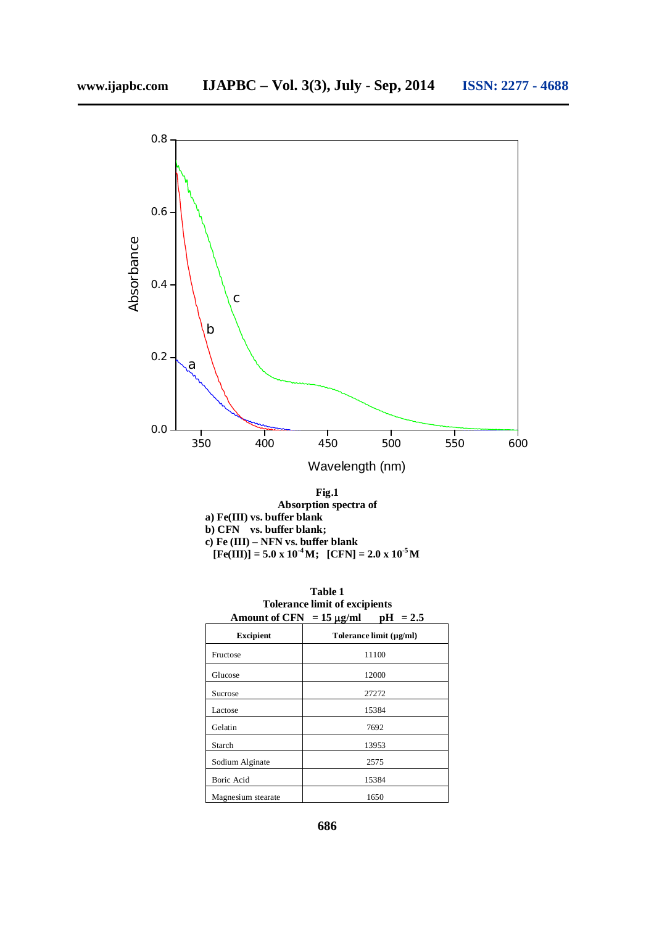

| Fig.1                                                               |
|---------------------------------------------------------------------|
| Absorption spectra of                                               |
| a) $Fe(III)$ vs. buffer blank                                       |
| b) CFN vs. buffer blank;                                            |
| c) Fe $(III)$ – NFN vs. buffer blank                                |
| $[Fe(III)] = 5.0 \times 10^{-4} M$ ; $[CFN] = 2.0 \times 10^{-5} M$ |

|                                            | <b>Table 1</b>                       |  |
|--------------------------------------------|--------------------------------------|--|
|                                            | <b>Tolerance limit of excipients</b> |  |
| Amount of CFN $=$ 15 $\mu$ o/ml nH $=$ 2.5 |                                      |  |

| $\mathbf{r}$ . The case of $\mathbf{c}$ is the set | $\sim \mu_{\rm N}$ m<br>www<br>. |
|----------------------------------------------------|----------------------------------|
| <b>Excipient</b>                                   | Tolerance limit (µg/ml)          |
| Fructose                                           | 11100                            |
| Glucose                                            | 12000                            |
| Sucrose                                            | 27272                            |
| Lactose                                            | 15384                            |
| Gelatin                                            | 7692                             |
| Starch                                             | 13953                            |
| Sodium Alginate                                    | 2575                             |
| <b>Boric Acid</b>                                  | 15384                            |
| Magnesium stearate                                 | 1650                             |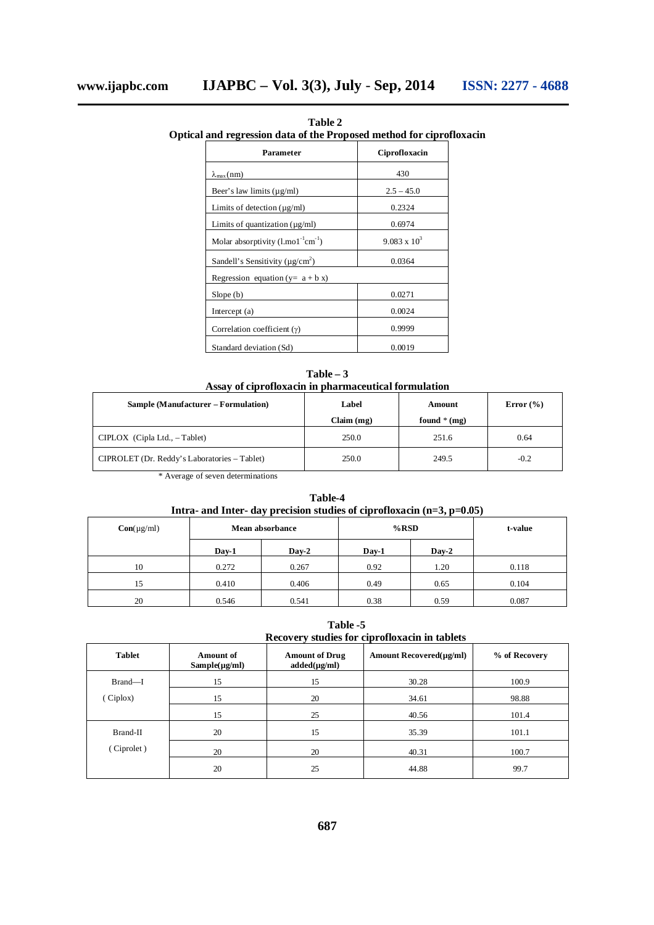| al and regression data of the Proposed method for ciprofl |                     |  |
|-----------------------------------------------------------|---------------------|--|
| Parameter                                                 | Ciprofloxacin       |  |
| $\lambda_{\max}(nm)$                                      | 430                 |  |
| Beer's law limits $(\mu g/ml)$                            | $2.5 - 45.0$        |  |
| Limits of detection $(\mu g/ml)$                          | 0.2324              |  |
| Limits of quantization $(\mu g/ml)$                       | 0.6974              |  |
| Molar absorptivity $(l.mo1^{-1}cm^{-1})$                  | $9.083 \times 10^3$ |  |
| Sandell's Sensitivity ( $\mu$ g/cm <sup>2</sup> )         | 0.0364              |  |
| Regression equation ( $y = a + b x$ )                     |                     |  |
| Slope(b)                                                  | 0.0271              |  |
| Intercept (a)                                             | 0.0024              |  |
| Correlation coefficient $(y)$                             | 0.9999              |  |
| Standard deviation (Sd)                                   | 0.0019              |  |

**Table 2 Optical and regression data of the Proposed method for ciprofloxacin**

| $Table - 3$                                          |
|------------------------------------------------------|
| Assay of ciprofloxacin in pharmaceutical formulation |

| Sample (Manufacturer – Formulation)          | Label      | Amount        | Error $(\% )$ |
|----------------------------------------------|------------|---------------|---------------|
|                                              | Claim (mg) | found $*(mg)$ |               |
| $CIPLOX$ (Cipla Ltd., $-Table$ )             | 250.0      | 251.6         | 0.64          |
| CIPROLET (Dr. Reddy's Laboratories – Tablet) | 250.0      | 249.5         | $-0.2$        |
| * Average of caven determinations            |            |               |               |

Average of seven determinations

**Table-4 Intra- and Inter- day precision studies of ciprofloxacin (n=3, p=0.05)**

| $Con(\mu g/ml)$ | Mean absorbance |         | %RSD  |         | t-value |
|-----------------|-----------------|---------|-------|---------|---------|
|                 | Day-1           | $Day-2$ | Day-1 | $Day-2$ |         |
| 10              | 0.272           | 0.267   | 0.92  | 1.20    | 0.118   |
| 15              | 0.410           | 0.406   | 0.49  | 0.65    | 0.104   |
| 20              | 0.546           | 0.541   | 0.38  | 0.59    | 0.087   |

**Table -5 Recovery studies for ciprofloxacin in tablets**

| <b>Tablet</b> | <b>Amount of</b><br>$Sample(\mu g/ml)$ | <b>Amount of Drug</b><br>$added(\mu g/ml)$ | Amount Recovered(µg/ml) | % of Recovery |
|---------------|----------------------------------------|--------------------------------------------|-------------------------|---------------|
| Brand-I       | 15                                     | 15                                         | 30.28                   | 100.9         |
| (Ciplox)      | 15                                     | 20                                         | 34.61                   | 98.88         |
|               | 15                                     | 25                                         | 40.56                   | 101.4         |
| Brand-II      | 20                                     | 15                                         | 35.39                   | 101.1         |
| (Ciprolet)    | 20                                     | 20                                         | 40.31                   | 100.7         |
|               | 20                                     | 25                                         | 44.88                   | 99.7          |